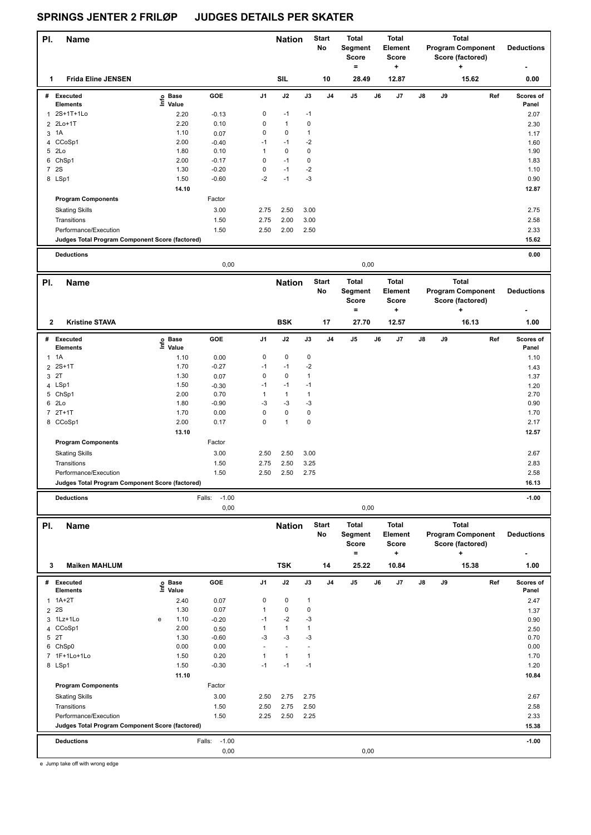| PI.<br>Name                                                              |                            |                           |              | <b>Nation</b>  |                      | <b>Start</b><br>No | Total<br>Segment<br>Score<br>$\equiv$ |      | <b>Total</b><br><b>Element</b><br>Score<br>÷ |    |    | <b>Total</b><br><b>Program Component</b><br>Score (factored)<br>٠ | <b>Deductions</b>  |
|--------------------------------------------------------------------------|----------------------------|---------------------------|--------------|----------------|----------------------|--------------------|---------------------------------------|------|----------------------------------------------|----|----|-------------------------------------------------------------------|--------------------|
| <b>Frida Eline JENSEN</b><br>1                                           |                            |                           |              | <b>SIL</b>     |                      | 10                 | 28.49                                 |      | 12.87                                        |    |    | 15.62                                                             | 0.00               |
| # Executed                                                               | e Base<br>E Value          | GOE                       | J1           | J2             | J3                   | J4                 | J5                                    | J6   | J7                                           | J8 | J9 | Ref                                                               | Scores of          |
| <b>Elements</b><br>1 2S+1T+1Lo                                           | Value                      |                           | 0            | $-1$           | $-1$                 |                    |                                       |      |                                              |    |    |                                                                   | Panel              |
| 2Lo+1T<br>2                                                              | 2.20<br>2.20               | $-0.13$<br>0.10           | 0            | $\mathbf{1}$   | $\pmb{0}$            |                    |                                       |      |                                              |    |    |                                                                   | 2.07               |
| 1A<br>3                                                                  | 1.10                       | 0.07                      | 0            | $\pmb{0}$      | $\mathbf{1}$         |                    |                                       |      |                                              |    |    |                                                                   | 2.30<br>1.17       |
| 4 CCoSp1                                                                 | 2.00                       | $-0.40$                   | $-1$         | $-1$           | $-2$                 |                    |                                       |      |                                              |    |    |                                                                   | 1.60               |
| 5 2Lo                                                                    | 1.80                       | 0.10                      | 1            | 0              | 0                    |                    |                                       |      |                                              |    |    |                                                                   | 1.90               |
| 6 ChSp1                                                                  | 2.00                       | $-0.17$                   | 0            | $-1$           | $\pmb{0}$            |                    |                                       |      |                                              |    |    |                                                                   | 1.83               |
| 7 2S                                                                     | 1.30                       | $-0.20$                   | 0            | $-1$           | $-2$                 |                    |                                       |      |                                              |    |    |                                                                   | 1.10               |
| 8 LSp1                                                                   | 1.50                       | $-0.60$                   | $-2$         | $-1$           | $-3$                 |                    |                                       |      |                                              |    |    |                                                                   | 0.90               |
|                                                                          | 14.10                      |                           |              |                |                      |                    |                                       |      |                                              |    |    |                                                                   | 12.87              |
| <b>Program Components</b>                                                |                            | Factor                    |              |                |                      |                    |                                       |      |                                              |    |    |                                                                   |                    |
| <b>Skating Skills</b>                                                    |                            | 3.00                      | 2.75         | 2.50           | 3.00                 |                    |                                       |      |                                              |    |    |                                                                   | 2.75               |
| Transitions                                                              |                            | 1.50                      | 2.75         | 2.00           | 3.00                 |                    |                                       |      |                                              |    |    |                                                                   | 2.58               |
| Performance/Execution<br>Judges Total Program Component Score (factored) |                            | 1.50                      | 2.50         | 2.00           | 2.50                 |                    |                                       |      |                                              |    |    |                                                                   | 2.33<br>15.62      |
|                                                                          |                            |                           |              |                |                      |                    |                                       |      |                                              |    |    |                                                                   |                    |
| <b>Deductions</b>                                                        |                            | 0,00                      |              |                |                      |                    |                                       | 0,00 |                                              |    |    |                                                                   | 0.00               |
| PI.<br><b>Name</b>                                                       |                            |                           |              | <b>Nation</b>  |                      | <b>Start</b>       | <b>Total</b>                          |      | <b>Total</b>                                 |    |    | <b>Total</b>                                                      |                    |
|                                                                          |                            |                           |              |                |                      | No                 | Segment<br><b>Score</b><br>$=$        |      | Element<br><b>Score</b><br>÷                 |    |    | <b>Program Component</b><br>Score (factored)<br>+                 | <b>Deductions</b>  |
| 2<br><b>Kristine STAVA</b>                                               |                            |                           |              | <b>BSK</b>     |                      | 17                 | 27.70                                 |      | 12.57                                        |    |    | 16.13                                                             | 1.00               |
| # Executed<br><b>Elements</b>                                            | e Base<br>E Value<br>Value | GOE                       | J1           | J2             | J3                   | J <sub>4</sub>     | J5                                    | J6   | J7                                           | J8 | J9 | Ref                                                               | Scores of<br>Panel |
| $1 \t1A$                                                                 | 1.10                       | 0.00                      | 0            | 0              | $\pmb{0}$            |                    |                                       |      |                                              |    |    |                                                                   | 1.10               |
| $2S+1T$<br>$\overline{\mathbf{c}}$<br>3 2T                               | 1.70<br>1.30               | $-0.27$                   | $-1$<br>0    | $-1$<br>0      | $-2$<br>$\mathbf{1}$ |                    |                                       |      |                                              |    |    |                                                                   | 1.43               |
| 4 LSp1                                                                   | 1.50                       | 0.07<br>$-0.30$           | -1           | $-1$           | $-1$                 |                    |                                       |      |                                              |    |    |                                                                   | 1.37<br>1.20       |
| 5 ChSp1                                                                  | 2.00                       | 0.70                      | $\mathbf{1}$ | $\mathbf{1}$   | $\mathbf{1}$         |                    |                                       |      |                                              |    |    |                                                                   | 2.70               |
| 6 2Lo                                                                    | 1.80                       | $-0.90$                   | $-3$         | $-3$           | $-3$                 |                    |                                       |      |                                              |    |    |                                                                   | 0.90               |
| $72T+1T$                                                                 | 1.70                       | 0.00                      | 0            | 0              | $\pmb{0}$            |                    |                                       |      |                                              |    |    |                                                                   | 1.70               |
| 8 CCoSp1                                                                 | 2.00                       | 0.17                      | 0            | 1              | 0                    |                    |                                       |      |                                              |    |    |                                                                   | 2.17               |
|                                                                          | 13.10                      |                           |              |                |                      |                    |                                       |      |                                              |    |    |                                                                   | 12.57              |
| <b>Program Components</b>                                                |                            | Factor                    |              |                |                      |                    |                                       |      |                                              |    |    |                                                                   |                    |
| <b>Skating Skills</b>                                                    |                            | 3.00                      | 2.50         | 2.50           | 3.00                 |                    |                                       |      |                                              |    |    |                                                                   | 2.67               |
| Transitions                                                              |                            | 1.50                      | 2.75         | 2.50           | 3.25                 |                    |                                       |      |                                              |    |    |                                                                   | 2.83               |
| Performance/Execution<br>Judges Total Program Component Score (factored) |                            | 1.50                      | 2.50         | 2.50           | 2.75                 |                    |                                       |      |                                              |    |    |                                                                   | 2.58<br>16.13      |
|                                                                          |                            |                           |              |                |                      |                    |                                       |      |                                              |    |    |                                                                   |                    |
| <b>Deductions</b>                                                        |                            | $-1.00$<br>Falls:<br>0,00 |              |                |                      |                    |                                       | 0,00 |                                              |    |    |                                                                   | $-1.00$            |
| PI.<br>Name                                                              |                            |                           |              | <b>Nation</b>  |                      | <b>Start</b>       | Total                                 |      | Total                                        |    |    | <b>Total</b>                                                      |                    |
|                                                                          |                            |                           |              |                |                      | No                 | Segment<br>Score                      |      | Element<br>Score                             |    |    | <b>Program Component</b><br>Score (factored)                      | <b>Deductions</b>  |
| 3<br><b>Maiken MAHLUM</b>                                                |                            |                           |              | <b>TSK</b>     |                      | 14                 | $=$<br>25.22                          |      | +<br>10.84                                   |    |    | ٠<br>15.38                                                        | 1.00               |
| # Executed<br>Elements                                                   | e Base<br>⊑ Value          | GOE                       | J1           | J2             | J3                   | J4                 | J5                                    | J6   | J7                                           | J8 | J9 | Ref                                                               | Scores of<br>Panel |
| 1A+2T<br>1                                                               | 2.40                       | 0.07                      | 0            | 0              | $\mathbf{1}$         |                    |                                       |      |                                              |    |    |                                                                   | 2.47               |
| 2S<br>$\overline{2}$                                                     | 1.30                       | 0.07                      | 1            | 0              | $\pmb{0}$            |                    |                                       |      |                                              |    |    |                                                                   | 1.37               |
| 3 1Lz+1Lo                                                                | 1.10<br>e                  | $-0.20$                   | -1           | $-2$           | $-3$                 |                    |                                       |      |                                              |    |    |                                                                   | 0.90               |
| 4 CCoSp1<br>5 2T                                                         | 2.00<br>1.30               | 0.50<br>$-0.60$           | 1<br>-3      | 1<br>$-3$      | $\mathbf{1}$<br>$-3$ |                    |                                       |      |                                              |    |    |                                                                   | 2.50<br>0.70       |
| 6 ChSp0                                                                  | 0.00                       | 0.00                      |              | $\overline{a}$ |                      |                    |                                       |      |                                              |    |    |                                                                   | 0.00               |
| 7 1F+1Lo+1Lo                                                             | 1.50                       | 0.20                      | 1            | $\mathbf{1}$   | $\mathbf{1}$         |                    |                                       |      |                                              |    |    |                                                                   | 1.70               |
| 8 LSp1                                                                   | 1.50                       | $-0.30$                   | $-1$         | $-1$           | $-1$                 |                    |                                       |      |                                              |    |    |                                                                   | 1.20               |
|                                                                          | 11.10                      |                           |              |                |                      |                    |                                       |      |                                              |    |    |                                                                   | 10.84              |
| <b>Program Components</b>                                                |                            | Factor                    |              |                |                      |                    |                                       |      |                                              |    |    |                                                                   |                    |
| <b>Skating Skills</b>                                                    |                            | 3.00                      | 2.50         | 2.75           | 2.75                 |                    |                                       |      |                                              |    |    |                                                                   | 2.67               |
| Transitions                                                              |                            | 1.50                      | 2.50         | 2.75           | 2.50                 |                    |                                       |      |                                              |    |    |                                                                   | 2.58               |
| Performance/Execution                                                    |                            | 1.50                      | 2.25         | 2.50           | 2.25                 |                    |                                       |      |                                              |    |    |                                                                   | 2.33               |
| Judges Total Program Component Score (factored)                          |                            |                           |              |                |                      |                    |                                       |      |                                              |    |    |                                                                   | 15.38              |
| <b>Deductions</b>                                                        |                            | $-1.00$<br>Falls:         |              |                |                      |                    |                                       |      |                                              |    |    |                                                                   | $-1.00$            |
|                                                                          |                            | 0,00                      |              |                |                      |                    |                                       | 0,00 |                                              |    |    |                                                                   |                    |
|                                                                          |                            |                           |              |                |                      |                    |                                       |      |                                              |    |    |                                                                   |                    |

e Jump take off with wrong edge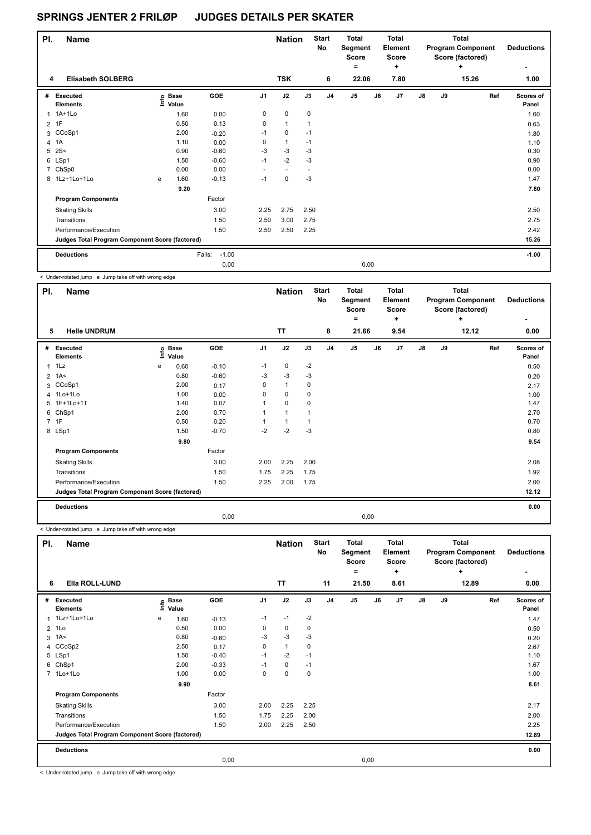| PI.            | <b>Name</b>                                     |   |                   |                   |                | <b>Nation</b>            |      | <b>Start</b><br>No | <b>Total</b><br>Segment<br><b>Score</b><br>۰ |      | Total<br>Element<br><b>Score</b><br>٠ |               |    | Total<br><b>Program Component</b><br>Score (factored)<br>٠ | <b>Deductions</b><br>٠ |
|----------------|-------------------------------------------------|---|-------------------|-------------------|----------------|--------------------------|------|--------------------|----------------------------------------------|------|---------------------------------------|---------------|----|------------------------------------------------------------|------------------------|
| 4              | <b>Elisabeth SOLBERG</b>                        |   |                   |                   |                | <b>TSK</b>               |      | 6                  | 22.06                                        |      | 7.80                                  |               |    | 15.26                                                      | 1.00                   |
| #              | <b>Executed</b><br><b>Elements</b>              |   | e Base<br>E Value | GOE               | J <sub>1</sub> | J2                       | J3   | J <sub>4</sub>     | J <sub>5</sub>                               | J6   | J7                                    | $\mathsf{J}8$ | J9 | Ref                                                        | Scores of<br>Panel     |
|                | 1 1A+1Lo                                        |   | 1.60              | 0.00              | 0              | $\mathbf 0$              | 0    |                    |                                              |      |                                       |               |    |                                                            | 1.60                   |
|                | 2 1F                                            |   | 0.50              | 0.13              | 0              | $\mathbf{1}$             | 1    |                    |                                              |      |                                       |               |    |                                                            | 0.63                   |
|                | 3 CCoSp1                                        |   | 2.00              | $-0.20$           | $-1$           | $\mathbf 0$              | $-1$ |                    |                                              |      |                                       |               |    |                                                            | 1.80                   |
| 4              | 1A                                              |   | 1.10              | 0.00              | 0              | $\mathbf{1}$             | $-1$ |                    |                                              |      |                                       |               |    |                                                            | 1.10                   |
| 5              | 2S<                                             |   | 0.90              | $-0.60$           | $-3$           | $-3$                     | $-3$ |                    |                                              |      |                                       |               |    |                                                            | 0.30                   |
|                | 6 LSp1                                          |   | 1.50              | $-0.60$           | $-1$           | $-2$                     | $-3$ |                    |                                              |      |                                       |               |    |                                                            | 0.90                   |
| $\overline{7}$ | ChSp0                                           |   | 0.00              | 0.00              |                | $\overline{\phantom{a}}$ |      |                    |                                              |      |                                       |               |    |                                                            | 0.00                   |
|                | 8 1Lz+1Lo+1Lo                                   | e | 1.60              | $-0.13$           | $-1$           | 0                        | -3   |                    |                                              |      |                                       |               |    |                                                            | 1.47                   |
|                |                                                 |   | 9.20              |                   |                |                          |      |                    |                                              |      |                                       |               |    |                                                            | 7.80                   |
|                | <b>Program Components</b>                       |   |                   | Factor            |                |                          |      |                    |                                              |      |                                       |               |    |                                                            |                        |
|                | <b>Skating Skills</b>                           |   |                   | 3.00              | 2.25           | 2.75                     | 2.50 |                    |                                              |      |                                       |               |    |                                                            | 2.50                   |
|                | Transitions                                     |   |                   | 1.50              | 2.50           | 3.00                     | 2.75 |                    |                                              |      |                                       |               |    |                                                            | 2.75                   |
|                | Performance/Execution                           |   |                   | 1.50              | 2.50           | 2.50                     | 2.25 |                    |                                              |      |                                       |               |    |                                                            | 2.42                   |
|                | Judges Total Program Component Score (factored) |   |                   |                   |                |                          |      |                    |                                              |      |                                       |               |    |                                                            | 15.26                  |
|                | <b>Deductions</b>                               |   |                   | $-1.00$<br>Falls: |                |                          |      |                    |                                              |      |                                       |               |    |                                                            | $-1.00$                |
|                |                                                 |   |                   | 0.00              |                |                          |      |                    |                                              | 0,00 |                                       |               |    |                                                            |                        |

< Under-rotated jump e Jump take off with wrong edge

| PI.          | <b>Name</b>                                     |      |                      |            |                | <b>Nation</b> |      | <b>Start</b><br>No | <b>Total</b><br>Segment<br><b>Score</b><br>= |      | <b>Total</b><br>Element<br><b>Score</b><br>٠ |               |    | <b>Total</b><br><b>Program Component</b><br>Score (factored)<br>÷ | <b>Deductions</b>  |
|--------------|-------------------------------------------------|------|----------------------|------------|----------------|---------------|------|--------------------|----------------------------------------------|------|----------------------------------------------|---------------|----|-------------------------------------------------------------------|--------------------|
| 5            | <b>Helle UNDRUM</b>                             |      |                      |            |                | <b>TT</b>     |      | 8                  | 21.66                                        |      | 9.54                                         |               |    | 12.12                                                             | 0.00               |
| #            | Executed<br><b>Elements</b>                     | lnfo | <b>Base</b><br>Value | <b>GOE</b> | J <sub>1</sub> | J2            | J3   | J <sub>4</sub>     | J5                                           | J6   | J7                                           | $\mathsf{J}8$ | J9 | Ref                                                               | Scores of<br>Panel |
| $\mathbf{1}$ | 1Lz                                             | e    | 0.60                 | $-0.10$    | $-1$           | $\pmb{0}$     | $-2$ |                    |                                              |      |                                              |               |    |                                                                   | 0.50               |
|              | $2 \t1A2$                                       |      | 0.80                 | $-0.60$    | -3             | $-3$          | $-3$ |                    |                                              |      |                                              |               |    |                                                                   | 0.20               |
| 3            | CCoSp1                                          |      | 2.00                 | 0.17       | 0              | $\mathbf{1}$  | 0    |                    |                                              |      |                                              |               |    |                                                                   | 2.17               |
|              | 4 1Lo+1Lo                                       |      | 1.00                 | 0.00       | 0              | 0             | 0    |                    |                                              |      |                                              |               |    |                                                                   | 1.00               |
|              | 5 1F+1Lo+1T                                     |      | 1.40                 | 0.07       |                | $\mathbf 0$   | 0    |                    |                                              |      |                                              |               |    |                                                                   | 1.47               |
| 6            | ChSp1                                           |      | 2.00                 | 0.70       |                |               |      |                    |                                              |      |                                              |               |    |                                                                   | 2.70               |
|              | 7 1F                                            |      | 0.50                 | 0.20       |                |               |      |                    |                                              |      |                                              |               |    |                                                                   | 0.70               |
|              | 8 LSp1                                          |      | 1.50                 | $-0.70$    | $-2$           | $-2$          | $-3$ |                    |                                              |      |                                              |               |    |                                                                   | 0.80               |
|              |                                                 |      | 9.80                 |            |                |               |      |                    |                                              |      |                                              |               |    |                                                                   | 9.54               |
|              | <b>Program Components</b>                       |      |                      | Factor     |                |               |      |                    |                                              |      |                                              |               |    |                                                                   |                    |
|              | <b>Skating Skills</b>                           |      |                      | 3.00       | 2.00           | 2.25          | 2.00 |                    |                                              |      |                                              |               |    |                                                                   | 2.08               |
|              | Transitions                                     |      |                      | 1.50       | 1.75           | 2.25          | 1.75 |                    |                                              |      |                                              |               |    |                                                                   | 1.92               |
|              | Performance/Execution                           |      |                      | 1.50       | 2.25           | 2.00          | 1.75 |                    |                                              |      |                                              |               |    |                                                                   | 2.00               |
|              | Judges Total Program Component Score (factored) |      |                      |            |                |               |      |                    |                                              |      |                                              |               |    |                                                                   | 12.12              |
|              | <b>Deductions</b>                               |      |                      |            |                |               |      |                    |                                              |      |                                              |               |    |                                                                   | 0.00               |
|              |                                                 |      |                      | 0,00       |                |               |      |                    |                                              | 0,00 |                                              |               |    |                                                                   |                    |

< Under-rotated jump e Jump take off with wrong edge

| No<br><b>Program Component</b><br>Segment<br>Element<br><b>Score</b><br><b>Score</b><br>Score (factored)<br>٠<br>÷<br>$\ddot{}$                                   |                           |
|-------------------------------------------------------------------------------------------------------------------------------------------------------------------|---------------------------|
| Ella ROLL-LUND<br><b>TT</b><br>11<br>21.50<br>8.61<br>12.89<br>6                                                                                                  | 0.00                      |
| GOE<br>J2<br>J <sub>1</sub><br>J3<br>J <sub>5</sub><br>J7<br>J8<br>J9<br>J <sub>4</sub><br>J6<br>#<br>Executed<br><b>Base</b><br>١nfo<br>Value<br><b>Elements</b> | Ref<br>Scores of<br>Panel |
| 1 1Lz+1Lo+1Lo<br>$-2$<br>$-1$<br>$-1$<br>1.60<br>$-0.13$<br>е                                                                                                     | 1.47                      |
| 0.00<br>1Lo<br>0.50<br>0<br>0<br>0<br>$\overline{2}$                                                                                                              | 0.50                      |
| $-3$<br>$-3$<br>1A<<br>0.80<br>$-3$<br>3<br>$-0.60$                                                                                                               | 0.20                      |
| CCoSp2<br>$\mathbf{1}$<br>2.50<br>0<br>0<br>0.17<br>4                                                                                                             | 2.67                      |
| $-2$<br>5 LSp1<br>1.50<br>$-0.40$<br>$-1$<br>$-1$                                                                                                                 | 1.10                      |
| 6 ChSp1<br>2.00<br>$-0.33$<br>0<br>$-1$<br>$-1$                                                                                                                   | 1.67                      |
| $\mathbf 0$<br>7 1Lo+1Lo<br>0.00<br>0<br>1.00<br>0                                                                                                                | 1.00                      |
| 9.90                                                                                                                                                              | 8.61                      |
| Factor<br><b>Program Components</b>                                                                                                                               |                           |
| 2.25<br>3.00<br>2.00<br>2.25<br><b>Skating Skills</b>                                                                                                             | 2.17                      |
| 1.50<br>2.25<br>2.00<br>Transitions<br>1.75                                                                                                                       | 2.00                      |
| Performance/Execution<br>2.25<br>1.50<br>2.00<br>2.50                                                                                                             | 2.25                      |
| Judges Total Program Component Score (factored)                                                                                                                   | 12.89                     |
| <b>Deductions</b>                                                                                                                                                 | 0.00                      |
| 0,00<br>0,00                                                                                                                                                      |                           |

< Under-rotated jump e Jump take off with wrong edge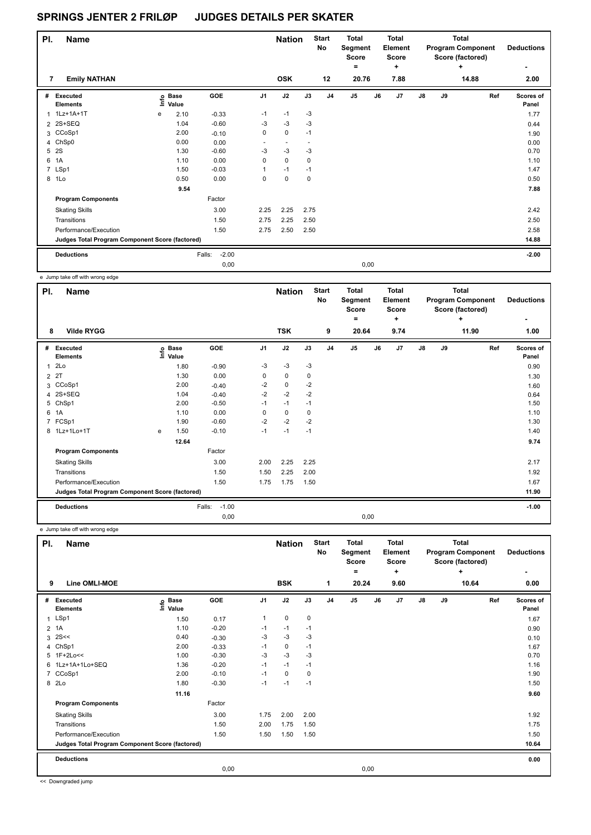| PI. | <b>Name</b>                                     |   |                            |                   |                | <b>Nation</b>            |      | <b>Start</b><br>No | <b>Total</b><br>Segment<br>Score |      | <b>Total</b><br>Element<br>Score |               |    | <b>Total</b><br><b>Program Component</b><br>Score (factored) | <b>Deductions</b>  |
|-----|-------------------------------------------------|---|----------------------------|-------------------|----------------|--------------------------|------|--------------------|----------------------------------|------|----------------------------------|---------------|----|--------------------------------------------------------------|--------------------|
| 7   | <b>Emily NATHAN</b>                             |   |                            |                   |                | <b>OSK</b>               |      | 12                 | $\equiv$<br>20.76                |      | ٠<br>7.88                        |               |    | ٠<br>14.88                                                   | ٠<br>2.00          |
| #   | Executed<br><b>Elements</b>                     |   | e Base<br>E Value<br>Value | GOE               | J <sub>1</sub> | J2                       | J3   | J <sub>4</sub>     | J <sub>5</sub>                   | J6   | J7                               | $\mathsf{J}8$ | J9 | Ref                                                          | Scores of<br>Panel |
| 1   | 1Lz+1A+1T                                       | e | 2.10                       | $-0.33$           | $-1$           | $-1$                     | $-3$ |                    |                                  |      |                                  |               |    |                                                              | 1.77               |
|     | 2 2S+SEQ                                        |   | 1.04                       | $-0.60$           | $-3$           | $-3$                     | $-3$ |                    |                                  |      |                                  |               |    |                                                              | 0.44               |
|     | 3 CCoSp1                                        |   | 2.00                       | $-0.10$           | 0              | $\mathbf 0$              | $-1$ |                    |                                  |      |                                  |               |    |                                                              | 1.90               |
|     | 4 ChSp0                                         |   | 0.00                       | 0.00              | ٠              | $\overline{\phantom{a}}$ |      |                    |                                  |      |                                  |               |    |                                                              | 0.00               |
| 5   | <b>2S</b>                                       |   | 1.30                       | $-0.60$           | $-3$           | $-3$                     | -3   |                    |                                  |      |                                  |               |    |                                                              | 0.70               |
| 6   | 1A                                              |   | 1.10                       | 0.00              | $\Omega$       | $\mathbf 0$              | 0    |                    |                                  |      |                                  |               |    |                                                              | 1.10               |
|     | 7 LSp1                                          |   | 1.50                       | $-0.03$           |                | $-1$                     | $-1$ |                    |                                  |      |                                  |               |    |                                                              | 1.47               |
|     | 8 1Lo                                           |   | 0.50                       | 0.00              | 0              | $\mathbf 0$              | 0    |                    |                                  |      |                                  |               |    |                                                              | 0.50               |
|     |                                                 |   | 9.54                       |                   |                |                          |      |                    |                                  |      |                                  |               |    |                                                              | 7.88               |
|     | <b>Program Components</b>                       |   |                            | Factor            |                |                          |      |                    |                                  |      |                                  |               |    |                                                              |                    |
|     | <b>Skating Skills</b>                           |   |                            | 3.00              | 2.25           | 2.25                     | 2.75 |                    |                                  |      |                                  |               |    |                                                              | 2.42               |
|     | Transitions                                     |   |                            | 1.50              | 2.75           | 2.25                     | 2.50 |                    |                                  |      |                                  |               |    |                                                              | 2.50               |
|     | Performance/Execution                           |   |                            | 1.50              | 2.75           | 2.50                     | 2.50 |                    |                                  |      |                                  |               |    |                                                              | 2.58               |
|     | Judges Total Program Component Score (factored) |   |                            |                   |                |                          |      |                    |                                  |      |                                  |               |    |                                                              | 14.88              |
|     | <b>Deductions</b>                               |   |                            | $-2.00$<br>Falls: |                |                          |      |                    |                                  |      |                                  |               |    |                                                              | $-2.00$            |
|     |                                                 |   |                            | 0,00              |                |                          |      |                    |                                  | 0,00 |                                  |               |    |                                                              |                    |

e Jump take off with wrong edge

| PI.            | <b>Name</b>                                     |   |                                  |                   |                | <b>Nation</b> |      | <b>Start</b><br><b>No</b> | <b>Total</b><br>Segment<br>Score<br>۰ |      | Total<br>Element<br><b>Score</b><br>٠ |    |    | Total<br><b>Program Component</b><br>Score (factored)<br>$\ddot{}$ | <b>Deductions</b>         |
|----------------|-------------------------------------------------|---|----------------------------------|-------------------|----------------|---------------|------|---------------------------|---------------------------------------|------|---------------------------------------|----|----|--------------------------------------------------------------------|---------------------------|
| 8              | <b>Vilde RYGG</b>                               |   |                                  |                   |                | <b>TSK</b>    |      | 9                         | 20.64                                 |      | 9.74                                  |    |    | 11.90                                                              | 1.00                      |
| #              | <b>Executed</b><br><b>Elements</b>              |   | <b>Base</b><br>e Base<br>⊑ Value | GOE               | J <sub>1</sub> | J2            | J3   | J <sub>4</sub>            | J <sub>5</sub>                        | J6   | J7                                    | J8 | J9 | Ref                                                                | <b>Scores of</b><br>Panel |
| 1              | 2Lo                                             |   | 1.80                             | $-0.90$           | $-3$           | $-3$          | $-3$ |                           |                                       |      |                                       |    |    |                                                                    | 0.90                      |
| $\overline{2}$ | 2T                                              |   | 1.30                             | 0.00              | 0              | $\mathbf 0$   | 0    |                           |                                       |      |                                       |    |    |                                                                    | 1.30                      |
|                | 3 CCoSp1                                        |   | 2.00                             | $-0.40$           | $-2$           | $\mathbf 0$   | $-2$ |                           |                                       |      |                                       |    |    |                                                                    | 1.60                      |
| 4              | 2S+SEQ                                          |   | 1.04                             | $-0.40$           | $-2$           | $-2$          | $-2$ |                           |                                       |      |                                       |    |    |                                                                    | 0.64                      |
| 5              | ChSp1                                           |   | 2.00                             | $-0.50$           | $-1$           | $-1$          | $-1$ |                           |                                       |      |                                       |    |    |                                                                    | 1.50                      |
| 6              | 1A                                              |   | 1.10                             | 0.00              | 0              | $\mathbf 0$   | 0    |                           |                                       |      |                                       |    |    |                                                                    | 1.10                      |
| 7              | FCSp1                                           |   | 1.90                             | $-0.60$           | $-2$           | $-2$          | $-2$ |                           |                                       |      |                                       |    |    |                                                                    | 1.30                      |
|                | 8 1Lz+1Lo+1T                                    | e | 1.50                             | $-0.10$           | $-1$           | $-1$          | $-1$ |                           |                                       |      |                                       |    |    |                                                                    | 1.40                      |
|                |                                                 |   | 12.64                            |                   |                |               |      |                           |                                       |      |                                       |    |    |                                                                    | 9.74                      |
|                | <b>Program Components</b>                       |   |                                  | Factor            |                |               |      |                           |                                       |      |                                       |    |    |                                                                    |                           |
|                | <b>Skating Skills</b>                           |   |                                  | 3.00              | 2.00           | 2.25          | 2.25 |                           |                                       |      |                                       |    |    |                                                                    | 2.17                      |
|                | Transitions                                     |   |                                  | 1.50              | 1.50           | 2.25          | 2.00 |                           |                                       |      |                                       |    |    |                                                                    | 1.92                      |
|                | Performance/Execution                           |   |                                  | 1.50              | 1.75           | 1.75          | 1.50 |                           |                                       |      |                                       |    |    |                                                                    | 1.67                      |
|                | Judges Total Program Component Score (factored) |   |                                  |                   |                |               |      |                           |                                       |      |                                       |    |    |                                                                    | 11.90                     |
|                | <b>Deductions</b>                               |   |                                  | $-1.00$<br>Falls: |                |               |      |                           |                                       |      |                                       |    |    |                                                                    | $-1.00$                   |
|                |                                                 |   |                                  | 0,00              |                |               |      |                           |                                       | 0,00 |                                       |    |    |                                                                    |                           |

e Jump take off with wrong edge

| PI.            | Name                                            |                              |         |                |             | <b>Nation</b> | <b>Start</b><br>No | <b>Total</b><br>Segment<br><b>Score</b><br>٠ |      | <b>Total</b><br>Element<br><b>Score</b><br>+ |               |    | <b>Total</b><br><b>Program Component</b><br>Score (factored)<br>÷ | <b>Deductions</b>  |
|----------------|-------------------------------------------------|------------------------------|---------|----------------|-------------|---------------|--------------------|----------------------------------------------|------|----------------------------------------------|---------------|----|-------------------------------------------------------------------|--------------------|
| 9              | Line OMLI-MOE                                   |                              |         |                | <b>BSK</b>  |               | 1                  | 20.24                                        |      | 9.60                                         |               |    | 10.64                                                             | 0.00               |
| #              | Executed<br><b>Elements</b>                     | <b>Base</b><br>١nfo<br>Value | GOE     | J <sub>1</sub> | J2          | J3            | J <sub>4</sub>     | J <sub>5</sub>                               | J6   | J7                                           | $\mathsf{J}8$ | J9 | Ref                                                               | Scores of<br>Panel |
| 1              | LSp1                                            | 1.50                         | 0.17    | 1              | $\mathbf 0$ | 0             |                    |                                              |      |                                              |               |    |                                                                   | 1.67               |
| $\overline{2}$ | 1A                                              | 1.10                         | $-0.20$ | $-1$           | $-1$        | $-1$          |                    |                                              |      |                                              |               |    |                                                                   | 0.90               |
| 3              | 2S<<                                            | 0.40                         | $-0.30$ | $-3$           | $-3$        | $-3$          |                    |                                              |      |                                              |               |    |                                                                   | 0.10               |
|                | 4 ChSp1                                         | 2.00                         | $-0.33$ | $-1$           | $\mathbf 0$ | $-1$          |                    |                                              |      |                                              |               |    |                                                                   | 1.67               |
|                | 5 1F+2Lo<<                                      | 1.00                         | $-0.30$ | -3             | $-3$        | $-3$          |                    |                                              |      |                                              |               |    |                                                                   | 0.70               |
| 6              | 1Lz+1A+1Lo+SEQ                                  | 1.36                         | $-0.20$ | $-1$           | $-1$        | $-1$          |                    |                                              |      |                                              |               |    |                                                                   | 1.16               |
| $\overline{7}$ | CCoSp1                                          | 2.00                         | $-0.10$ | $-1$           | $\Omega$    | 0             |                    |                                              |      |                                              |               |    |                                                                   | 1.90               |
| 8              | 2Lo                                             | 1.80                         | $-0.30$ | $-1$           | $-1$        | $-1$          |                    |                                              |      |                                              |               |    |                                                                   | 1.50               |
|                |                                                 | 11.16                        |         |                |             |               |                    |                                              |      |                                              |               |    |                                                                   | 9.60               |
|                | <b>Program Components</b>                       |                              | Factor  |                |             |               |                    |                                              |      |                                              |               |    |                                                                   |                    |
|                | <b>Skating Skills</b>                           |                              | 3.00    | 1.75           | 2.00        | 2.00          |                    |                                              |      |                                              |               |    |                                                                   | 1.92               |
|                | Transitions                                     |                              | 1.50    | 2.00           | 1.75        | 1.50          |                    |                                              |      |                                              |               |    |                                                                   | 1.75               |
|                | Performance/Execution                           |                              | 1.50    | 1.50           | 1.50        | 1.50          |                    |                                              |      |                                              |               |    |                                                                   | 1.50               |
|                | Judges Total Program Component Score (factored) |                              |         |                |             |               |                    |                                              |      |                                              |               |    |                                                                   | 10.64              |
|                | <b>Deductions</b>                               |                              |         |                |             |               |                    |                                              |      |                                              |               |    |                                                                   | 0.00               |
|                |                                                 |                              | 0,00    |                |             |               |                    |                                              | 0,00 |                                              |               |    |                                                                   |                    |

<< Downgraded jump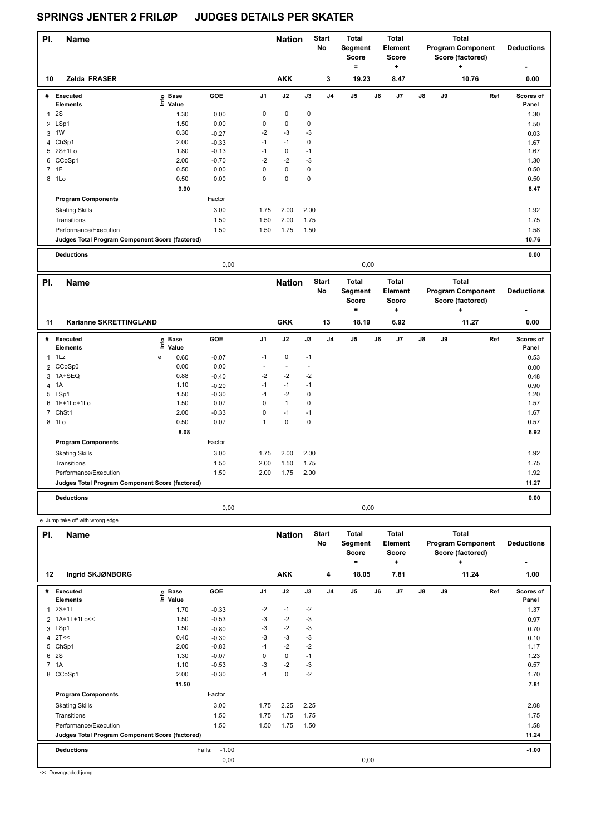| PI. | <b>Name</b>                                     |                   |         |                | <b>Nation</b> |             | <b>Start</b><br>No | <b>Total</b><br>Segment<br><b>Score</b><br>= |    | <b>Total</b><br>Element<br>Score<br>٠ |               |    | Total<br><b>Program Component</b><br>Score (factored)<br>٠ | <b>Deductions</b>  |
|-----|-------------------------------------------------|-------------------|---------|----------------|---------------|-------------|--------------------|----------------------------------------------|----|---------------------------------------|---------------|----|------------------------------------------------------------|--------------------|
| 10  | Zelda FRASER                                    |                   |         |                | <b>AKK</b>    |             | 3                  | 19.23                                        |    | 8.47                                  |               |    | 10.76                                                      | 0.00               |
| #   | Executed<br><b>Elements</b>                     | e Base<br>E Value | GOE     | J <sub>1</sub> | J2            | J3          | J <sub>4</sub>     | J <sub>5</sub>                               | J6 | J7                                    | $\mathsf{J}8$ | J9 | Ref                                                        | Scores of<br>Panel |
| 1   | 2S                                              | 1.30              | 0.00    | 0              | 0             | $\mathbf 0$ |                    |                                              |    |                                       |               |    |                                                            | 1.30               |
|     | 2 LSp1                                          | 1.50              | 0.00    | 0              | $\pmb{0}$     | 0           |                    |                                              |    |                                       |               |    |                                                            | 1.50               |
| 3   | 1 <sub>W</sub>                                  | 0.30              | $-0.27$ | $-2$           | $-3$          | -3          |                    |                                              |    |                                       |               |    |                                                            | 0.03               |
| 4   | ChSp1                                           | 2.00              | $-0.33$ | $-1$           | $-1$          | 0           |                    |                                              |    |                                       |               |    |                                                            | 1.67               |
|     | 5 2S+1Lo                                        | 1.80              | $-0.13$ | $-1$           | 0             | $-1$        |                    |                                              |    |                                       |               |    |                                                            | 1.67               |
|     | 6 CCoSp1                                        | 2.00              | $-0.70$ | $-2$           | $-2$          | -3          |                    |                                              |    |                                       |               |    |                                                            | 1.30               |
|     | 7 1F                                            | 0.50              | 0.00    | $\mathbf 0$    | $\mathbf 0$   | 0           |                    |                                              |    |                                       |               |    |                                                            | 0.50               |
|     | 8 1Lo                                           | 0.50              | 0.00    | $\pmb{0}$      | $\pmb{0}$     | 0           |                    |                                              |    |                                       |               |    |                                                            | 0.50               |
|     |                                                 | 9.90              |         |                |               |             |                    |                                              |    |                                       |               |    |                                                            | 8.47               |
|     | <b>Program Components</b>                       |                   | Factor  |                |               |             |                    |                                              |    |                                       |               |    |                                                            |                    |
|     | <b>Skating Skills</b>                           |                   | 3.00    | 1.75           | 2.00          | 2.00        |                    |                                              |    |                                       |               |    |                                                            | 1.92               |
|     | Transitions                                     |                   | 1.50    | 1.50           | 2.00          | 1.75        |                    |                                              |    |                                       |               |    |                                                            | 1.75               |
|     | Performance/Execution                           |                   | 1.50    | 1.50           | 1.75          | 1.50        |                    |                                              |    |                                       |               |    |                                                            | 1.58               |
|     | Judges Total Program Component Score (factored) |                   |         |                |               |             |                    |                                              |    |                                       |               |    |                                                            | 10.76              |
|     | <b>Deductions</b>                               |                   |         |                |               |             |                    |                                              |    |                                       |               |    |                                                            | 0.00               |

|              |                                                 |   |                            | 0,00    |                |                          |      |                    |                                              | 0,00 |                                              |               |    |                                                                   |                        |
|--------------|-------------------------------------------------|---|----------------------------|---------|----------------|--------------------------|------|--------------------|----------------------------------------------|------|----------------------------------------------|---------------|----|-------------------------------------------------------------------|------------------------|
| PI.          | <b>Name</b>                                     |   |                            |         |                | <b>Nation</b>            |      | <b>Start</b><br>No | <b>Total</b><br>Segment<br><b>Score</b><br>٠ |      | <b>Total</b><br>Element<br><b>Score</b><br>÷ |               |    | <b>Total</b><br><b>Program Component</b><br>Score (factored)<br>÷ | <b>Deductions</b><br>٠ |
| 11           | Karianne SKRETTINGLAND                          |   |                            |         |                | <b>GKK</b>               |      | 13                 | 18.19                                        |      | 6.92                                         |               |    | 11.27                                                             | 0.00                   |
| #            | Executed<br><b>Elements</b>                     |   | e Base<br>E Value<br>Value | GOE     | J <sub>1</sub> | J2                       | J3   | J <sub>4</sub>     | J <sub>5</sub>                               | J6   | J <sub>7</sub>                               | $\mathsf{J}8$ | J9 | Ref                                                               | Scores of<br>Panel     |
| $\mathbf{1}$ | 1Lz                                             | e | 0.60                       | $-0.07$ | $-1$           | 0                        | $-1$ |                    |                                              |      |                                              |               |    |                                                                   | 0.53                   |
|              | 2 CCoSp0                                        |   | 0.00                       | 0.00    | ٠              | $\overline{\phantom{a}}$ |      |                    |                                              |      |                                              |               |    |                                                                   | 0.00                   |
|              | 3 1A+SEQ                                        |   | 0.88                       | $-0.40$ | $-2$           | $-2$                     | $-2$ |                    |                                              |      |                                              |               |    |                                                                   | 0.48                   |
|              | 4 1A                                            |   | 1.10                       | $-0.20$ | $-1$           | $-1$                     | $-1$ |                    |                                              |      |                                              |               |    |                                                                   | 0.90                   |
|              | 5 LSp1                                          |   | 1.50                       | $-0.30$ | $-1$           | $-2$                     | 0    |                    |                                              |      |                                              |               |    |                                                                   | 1.20                   |
|              | 6 1F+1Lo+1Lo                                    |   | 1.50                       | 0.07    | 0              | $\mathbf{1}$             | 0    |                    |                                              |      |                                              |               |    |                                                                   | 1.57                   |
|              | 7 ChSt1                                         |   | 2.00                       | $-0.33$ | 0              | $-1$                     | $-1$ |                    |                                              |      |                                              |               |    |                                                                   | 1.67                   |
|              | 8 1Lo                                           |   | 0.50                       | 0.07    | 1              | $\pmb{0}$                | 0    |                    |                                              |      |                                              |               |    |                                                                   | 0.57                   |
|              |                                                 |   | 8.08                       |         |                |                          |      |                    |                                              |      |                                              |               |    |                                                                   | 6.92                   |
|              | <b>Program Components</b>                       |   |                            | Factor  |                |                          |      |                    |                                              |      |                                              |               |    |                                                                   |                        |
|              | <b>Skating Skills</b>                           |   |                            | 3.00    | 1.75           | 2.00                     | 2.00 |                    |                                              |      |                                              |               |    |                                                                   | 1.92                   |
|              | Transitions                                     |   |                            | 1.50    | 2.00           | 1.50                     | 1.75 |                    |                                              |      |                                              |               |    |                                                                   | 1.75                   |
|              | Performance/Execution                           |   |                            | 1.50    | 2.00           | 1.75                     | 2.00 |                    |                                              |      |                                              |               |    |                                                                   | 1.92                   |
|              | Judges Total Program Component Score (factored) |   |                            |         |                |                          |      |                    |                                              |      |                                              |               |    |                                                                   | 11.27                  |
|              | <b>Deductions</b>                               |   |                            |         |                |                          |      |                    |                                              |      |                                              |               |    |                                                                   | 0.00                   |
|              |                                                 |   |                            | 0,00    |                |                          |      |                    |                                              | 0,00 |                                              |               |    |                                                                   |                        |

e Jump take off with wrong edge

| PI. | <b>Name</b>                                     |                            |                   |                | <b>Nation</b> |      | <b>Start</b><br>No | <b>Total</b><br>Segment<br><b>Score</b><br>$=$ |    | <b>Total</b><br>Element<br><b>Score</b><br>÷ |               |    | <b>Total</b><br><b>Program Component</b><br>Score (factored)<br>٠ | <b>Deductions</b>  |
|-----|-------------------------------------------------|----------------------------|-------------------|----------------|---------------|------|--------------------|------------------------------------------------|----|----------------------------------------------|---------------|----|-------------------------------------------------------------------|--------------------|
| 12  | Ingrid SKJØNBORG                                |                            |                   |                | <b>AKK</b>    |      | 4                  | 18.05                                          |    | 7.81                                         |               |    | 11.24                                                             | 1.00               |
| #   | <b>Executed</b><br><b>Elements</b>              | e Base<br>E Value<br>Value | <b>GOE</b>        | J <sub>1</sub> | J2            | J3   | J <sub>4</sub>     | J5                                             | J6 | J7                                           | $\mathsf{J}8$ | J9 | Ref                                                               | Scores of<br>Panel |
| 1   | $2S+1T$                                         | 1.70                       | $-0.33$           | $-2$           | $-1$          | $-2$ |                    |                                                |    |                                              |               |    |                                                                   | 1.37               |
|     | 2 1A+1T+1Lo<<                                   | 1.50                       | $-0.53$           | -3             | $-2$          | $-3$ |                    |                                                |    |                                              |               |    |                                                                   | 0.97               |
| 3   | LSp1                                            | 1.50                       | $-0.80$           | -3             | $-2$          | $-3$ |                    |                                                |    |                                              |               |    |                                                                   | 0.70               |
|     | $4$ 2T <<                                       | 0.40                       | $-0.30$           | $-3$           | $-3$          | $-3$ |                    |                                                |    |                                              |               |    |                                                                   | 0.10               |
|     | 5 ChSp1                                         | 2.00                       | $-0.83$           | $-1$           | $-2$          | $-2$ |                    |                                                |    |                                              |               |    |                                                                   | 1.17               |
| 6   | 2S                                              | 1.30                       | $-0.07$           | 0              | 0             | $-1$ |                    |                                                |    |                                              |               |    |                                                                   | 1.23               |
|     | 7.1A                                            | 1.10                       | $-0.53$           | $-3$           | $-2$          | -3   |                    |                                                |    |                                              |               |    |                                                                   | 0.57               |
|     | 8 CCoSp1                                        | 2.00                       | $-0.30$           | $-1$           | 0             | $-2$ |                    |                                                |    |                                              |               |    |                                                                   | 1.70               |
|     |                                                 | 11.50                      |                   |                |               |      |                    |                                                |    |                                              |               |    |                                                                   | 7.81               |
|     | <b>Program Components</b>                       |                            | Factor            |                |               |      |                    |                                                |    |                                              |               |    |                                                                   |                    |
|     | <b>Skating Skills</b>                           |                            | 3.00              | 1.75           | 2.25          | 2.25 |                    |                                                |    |                                              |               |    |                                                                   | 2.08               |
|     | Transitions                                     |                            | 1.50              | 1.75           | 1.75          | 1.75 |                    |                                                |    |                                              |               |    |                                                                   | 1.75               |
|     | Performance/Execution                           |                            | 1.50              | 1.50           | 1.75          | 1.50 |                    |                                                |    |                                              |               |    |                                                                   | 1.58               |
|     | Judges Total Program Component Score (factored) |                            |                   |                |               |      |                    |                                                |    |                                              |               |    |                                                                   | 11.24              |
|     | <b>Deductions</b>                               |                            | $-1.00$<br>Falls: |                |               |      |                    |                                                |    |                                              |               |    |                                                                   | $-1.00$            |
|     |                                                 |                            | 0,00              |                |               |      |                    | 0,00                                           |    |                                              |               |    |                                                                   |                    |

<< Downgraded jump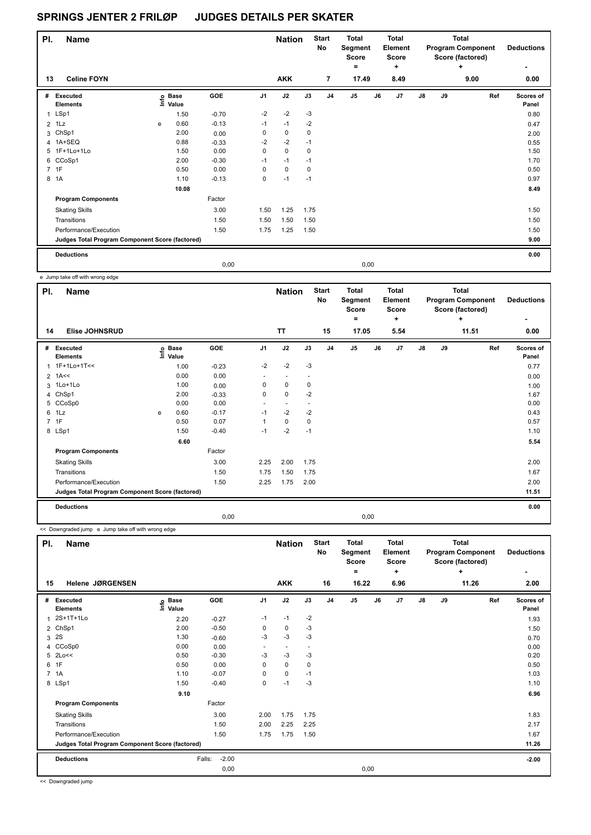| PI.            | <b>Name</b>                                     |   |                   |            |                | <b>Nation</b> |             | <b>Start</b><br><b>No</b> | <b>Total</b><br>Segment<br><b>Score</b><br>٠ |      | <b>Total</b><br>Element<br><b>Score</b><br>$\ddot{}$ |    |    | Total<br><b>Program Component</b><br>Score (factored)<br>٠ | <b>Deductions</b>  |
|----------------|-------------------------------------------------|---|-------------------|------------|----------------|---------------|-------------|---------------------------|----------------------------------------------|------|------------------------------------------------------|----|----|------------------------------------------------------------|--------------------|
| 13             | <b>Celine FOYN</b>                              |   |                   |            |                | <b>AKK</b>    |             | 7                         | 17.49                                        |      | 8.49                                                 |    |    | 9.00                                                       | 0.00               |
| #              | Executed<br><b>Elements</b>                     |   | e Base<br>⊑ Value | <b>GOE</b> | J <sub>1</sub> | J2            | J3          | J <sub>4</sub>            | J <sub>5</sub>                               | J6   | J7                                                   | J8 | J9 | Ref                                                        | Scores of<br>Panel |
| $\mathbf{1}$   | LSp1                                            |   | 1.50              | $-0.70$    | $-2$           | $-2$          | $-3$        |                           |                                              |      |                                                      |    |    |                                                            | 0.80               |
| $\overline{2}$ | 1Lz                                             | e | 0.60              | $-0.13$    | $-1$           | $-1$          | $-2$        |                           |                                              |      |                                                      |    |    |                                                            | 0.47               |
|                | 3 ChSp1                                         |   | 2.00              | 0.00       | 0              | 0             | 0           |                           |                                              |      |                                                      |    |    |                                                            | 2.00               |
|                | 4 1A+SEQ                                        |   | 0.88              | $-0.33$    | $-2$           | $-2$          | $-1$        |                           |                                              |      |                                                      |    |    |                                                            | 0.55               |
|                | 5 1F+1Lo+1Lo                                    |   | 1.50              | 0.00       | 0              | $\mathbf 0$   | $\mathbf 0$ |                           |                                              |      |                                                      |    |    |                                                            | 1.50               |
|                | 6 CCoSp1                                        |   | 2.00              | $-0.30$    | $-1$           | $-1$          | $-1$        |                           |                                              |      |                                                      |    |    |                                                            | 1.70               |
|                | 7 1F                                            |   | 0.50              | 0.00       | $\Omega$       | $\mathbf 0$   | $\mathbf 0$ |                           |                                              |      |                                                      |    |    |                                                            | 0.50               |
| 8              | 1A                                              |   | 1.10              | $-0.13$    | 0              | $-1$          | $-1$        |                           |                                              |      |                                                      |    |    |                                                            | 0.97               |
|                |                                                 |   | 10.08             |            |                |               |             |                           |                                              |      |                                                      |    |    |                                                            | 8.49               |
|                | <b>Program Components</b>                       |   |                   | Factor     |                |               |             |                           |                                              |      |                                                      |    |    |                                                            |                    |
|                | <b>Skating Skills</b>                           |   |                   | 3.00       | 1.50           | 1.25          | 1.75        |                           |                                              |      |                                                      |    |    |                                                            | 1.50               |
|                | Transitions                                     |   |                   | 1.50       | 1.50           | 1.50          | 1.50        |                           |                                              |      |                                                      |    |    |                                                            | 1.50               |
|                | Performance/Execution                           |   |                   | 1.50       | 1.75           | 1.25          | 1.50        |                           |                                              |      |                                                      |    |    |                                                            | 1.50               |
|                | Judges Total Program Component Score (factored) |   |                   |            |                |               |             |                           |                                              |      |                                                      |    |    |                                                            | 9.00               |
|                | <b>Deductions</b>                               |   |                   |            |                |               |             |                           |                                              |      |                                                      |    |    |                                                            | 0.00               |
|                |                                                 |   |                   | 0,00       |                |               |             |                           |                                              | 0,00 |                                                      |    |    |                                                            |                    |

e Jump take off with wrong edge

| PI.            | <b>Name</b>                                     |   |                                  |         |                          | <b>Nation</b>            |      | <b>Start</b><br>No | <b>Total</b><br>Segment<br><b>Score</b><br>٠ |    | Total<br>Element<br><b>Score</b><br>÷ |               |    | Total<br><b>Program Component</b><br>Score (factored)<br>٠ | <b>Deductions</b>  |
|----------------|-------------------------------------------------|---|----------------------------------|---------|--------------------------|--------------------------|------|--------------------|----------------------------------------------|----|---------------------------------------|---------------|----|------------------------------------------------------------|--------------------|
| 14             | <b>Elise JOHNSRUD</b>                           |   |                                  |         |                          | <b>TT</b>                |      | 15                 | 17.05                                        |    | 5.54                                  |               |    | 11.51                                                      | 0.00               |
| #              | Executed<br><b>Elements</b>                     |   | <b>Base</b><br>e Base<br>⊑ Value | GOE     | J <sub>1</sub>           | J2                       | J3   | J <sub>4</sub>     | J <sub>5</sub>                               | J6 | J7                                    | $\mathsf{J}8$ | J9 | Ref                                                        | Scores of<br>Panel |
| 1              | 1F+1Lo+1T<<                                     |   | 1.00                             | $-0.23$ | $-2$                     | $-2$                     | $-3$ |                    |                                              |    |                                       |               |    |                                                            | 0.77               |
|                | $2$ 1A<<                                        |   | 0.00                             | 0.00    | $\overline{\phantom{0}}$ |                          |      |                    |                                              |    |                                       |               |    |                                                            | 0.00               |
| 3              | 1Lo+1Lo                                         |   | 1.00                             | 0.00    | 0                        | $\mathbf 0$              | 0    |                    |                                              |    |                                       |               |    |                                                            | 1.00               |
|                | 4 ChSp1                                         |   | 2.00                             | $-0.33$ | 0                        | $\Omega$                 | $-2$ |                    |                                              |    |                                       |               |    |                                                            | 1.67               |
| 5              | CCoSp0                                          |   | 0.00                             | 0.00    | ٠                        | $\overline{\phantom{a}}$ |      |                    |                                              |    |                                       |               |    |                                                            | 0.00               |
| 6              | 1Lz                                             | e | 0.60                             | $-0.17$ | $-1$                     | $-2$                     | $-2$ |                    |                                              |    |                                       |               |    |                                                            | 0.43               |
| $\overline{7}$ | 1F                                              |   | 0.50                             | 0.07    | 1                        | $\mathbf 0$              | 0    |                    |                                              |    |                                       |               |    |                                                            | 0.57               |
|                | 8 LSp1                                          |   | 1.50                             | $-0.40$ | $-1$                     | $-2$                     | $-1$ |                    |                                              |    |                                       |               |    |                                                            | 1.10               |
|                |                                                 |   | 6.60                             |         |                          |                          |      |                    |                                              |    |                                       |               |    |                                                            | 5.54               |
|                | <b>Program Components</b>                       |   |                                  | Factor  |                          |                          |      |                    |                                              |    |                                       |               |    |                                                            |                    |
|                | <b>Skating Skills</b>                           |   |                                  | 3.00    | 2.25                     | 2.00                     | 1.75 |                    |                                              |    |                                       |               |    |                                                            | 2.00               |
|                | Transitions                                     |   |                                  | 1.50    | 1.75                     | 1.50                     | 1.75 |                    |                                              |    |                                       |               |    |                                                            | 1.67               |
|                | Performance/Execution                           |   |                                  | 1.50    | 2.25                     | 1.75                     | 2.00 |                    |                                              |    |                                       |               |    |                                                            | 2.00               |
|                | Judges Total Program Component Score (factored) |   |                                  |         |                          |                          |      |                    |                                              |    |                                       |               |    |                                                            | 11.51              |
|                | <b>Deductions</b>                               |   |                                  |         |                          |                          |      |                    |                                              |    |                                       |               |    |                                                            | 0.00               |
|                |                                                 |   |                                  | 0,00    |                          |                          |      |                    | 0,00                                         |    |                                       |               |    |                                                            |                    |

<< Downgraded jump e Jump take off with wrong edge

| PI.            | Name                                            |                            |                   |                | <b>Nation</b>            |                          | <b>Start</b><br><b>No</b> | <b>Total</b><br>Segment<br><b>Score</b><br>$\equiv$ |    | <b>Total</b><br>Element<br><b>Score</b><br>٠ |               |    | <b>Total</b><br><b>Program Component</b><br>Score (factored)<br>$\ddot{}$ | <b>Deductions</b><br>٠    |
|----------------|-------------------------------------------------|----------------------------|-------------------|----------------|--------------------------|--------------------------|---------------------------|-----------------------------------------------------|----|----------------------------------------------|---------------|----|---------------------------------------------------------------------------|---------------------------|
| 15             | Helene JØRGENSEN                                |                            |                   |                | <b>AKK</b>               |                          | 16                        | 16.22                                               |    | 6.96                                         |               |    | 11.26                                                                     | 2.00                      |
| #              | Executed<br><b>Elements</b>                     | <b>Base</b><br>۴ů<br>Value | GOE               | J <sub>1</sub> | J2                       | J3                       | J <sub>4</sub>            | J5                                                  | J6 | J7                                           | $\mathsf{J}8$ | J9 | Ref                                                                       | <b>Scores of</b><br>Panel |
| 1              | 2S+1T+1Lo                                       | 2.20                       | $-0.27$           | $-1$           | $-1$                     | $-2$                     |                           |                                                     |    |                                              |               |    |                                                                           | 1.93                      |
| $\overline{2}$ | ChSp1                                           | 2.00                       | $-0.50$           | 0              | 0                        | $-3$                     |                           |                                                     |    |                                              |               |    |                                                                           | 1.50                      |
| 3              | 2S                                              | 1.30                       | $-0.60$           | -3             | $-3$                     | $-3$                     |                           |                                                     |    |                                              |               |    |                                                                           | 0.70                      |
| 4              | CCoSp0                                          | 0.00                       | 0.00              | ٠              | $\overline{\phantom{a}}$ | $\overline{\phantom{a}}$ |                           |                                                     |    |                                              |               |    |                                                                           | 0.00                      |
|                | 5 2Lo<<                                         | 0.50                       | $-0.30$           | $-3$           | $-3$                     | $-3$                     |                           |                                                     |    |                                              |               |    |                                                                           | 0.20                      |
| 6              | 1F                                              | 0.50                       | 0.00              | 0              | $\mathbf 0$              | $\mathbf 0$              |                           |                                                     |    |                                              |               |    |                                                                           | 0.50                      |
| $\overline{7}$ | 1A                                              | 1.10                       | $-0.07$           | 0              | $\mathbf 0$              | $-1$                     |                           |                                                     |    |                                              |               |    |                                                                           | 1.03                      |
|                | 8 LSp1                                          | 1.50                       | $-0.40$           | 0              | $-1$                     | -3                       |                           |                                                     |    |                                              |               |    |                                                                           | 1.10                      |
|                |                                                 | 9.10                       |                   |                |                          |                          |                           |                                                     |    |                                              |               |    |                                                                           | 6.96                      |
|                | <b>Program Components</b>                       |                            | Factor            |                |                          |                          |                           |                                                     |    |                                              |               |    |                                                                           |                           |
|                | <b>Skating Skills</b>                           |                            | 3.00              | 2.00           | 1.75                     | 1.75                     |                           |                                                     |    |                                              |               |    |                                                                           | 1.83                      |
|                | Transitions                                     |                            | 1.50              | 2.00           | 2.25                     | 2.25                     |                           |                                                     |    |                                              |               |    |                                                                           | 2.17                      |
|                | Performance/Execution                           |                            | 1.50              | 1.75           | 1.75                     | 1.50                     |                           |                                                     |    |                                              |               |    |                                                                           | 1.67                      |
|                | Judges Total Program Component Score (factored) |                            |                   |                |                          |                          |                           |                                                     |    |                                              |               |    |                                                                           | 11.26                     |
|                | <b>Deductions</b>                               |                            | $-2.00$<br>Falls: |                |                          |                          |                           |                                                     |    |                                              |               |    |                                                                           | $-2.00$                   |
|                |                                                 |                            | 0,00              |                |                          |                          |                           | 0,00                                                |    |                                              |               |    |                                                                           |                           |

<< Downgraded jump